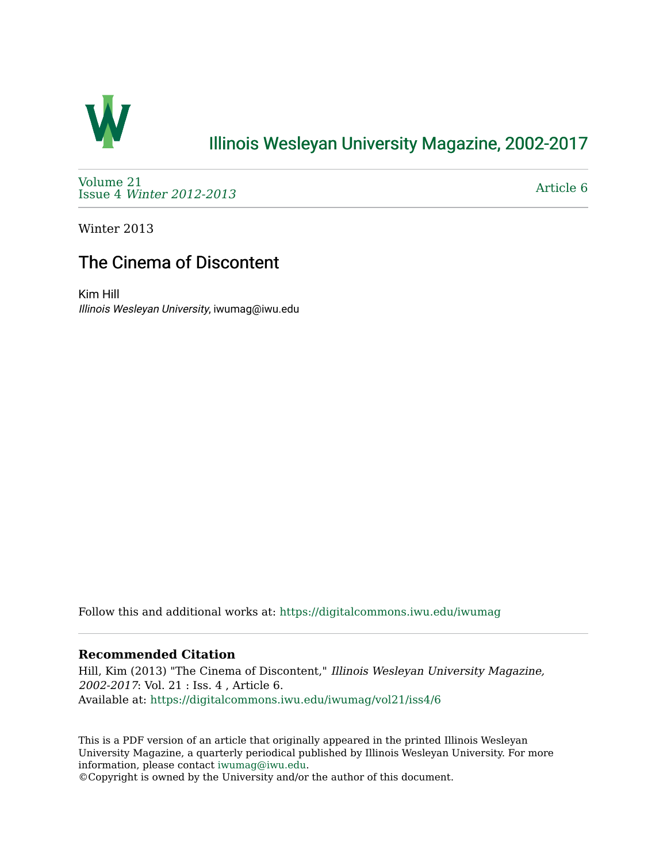

# [Illinois Wesleyan University Magazine, 2002-2017](https://digitalcommons.iwu.edu/iwumag)

[Volume 21](https://digitalcommons.iwu.edu/iwumag/vol21)  Issue 4 [Winter 2012-2013](https://digitalcommons.iwu.edu/iwumag/vol21/iss4)

[Article 6](https://digitalcommons.iwu.edu/iwumag/vol21/iss4/6) 

Winter 2013

# The Cinema of Discontent

Kim Hill Illinois Wesleyan University, iwumag@iwu.edu

Follow this and additional works at: [https://digitalcommons.iwu.edu/iwumag](https://digitalcommons.iwu.edu/iwumag?utm_source=digitalcommons.iwu.edu%2Fiwumag%2Fvol21%2Fiss4%2F6&utm_medium=PDF&utm_campaign=PDFCoverPages) 

## **Recommended Citation**

Hill, Kim (2013) "The Cinema of Discontent," Illinois Wesleyan University Magazine, 2002-2017: Vol. 21 : Iss. 4 , Article 6. Available at: [https://digitalcommons.iwu.edu/iwumag/vol21/iss4/6](https://digitalcommons.iwu.edu/iwumag/vol21/iss4/6?utm_source=digitalcommons.iwu.edu%2Fiwumag%2Fvol21%2Fiss4%2F6&utm_medium=PDF&utm_campaign=PDFCoverPages)

This is a PDF version of an article that originally appeared in the printed Illinois Wesleyan University Magazine, a quarterly periodical published by Illinois Wesleyan University. For more information, please contact [iwumag@iwu.edu](mailto:iwumag@iwu.edu).

©Copyright is owned by the University and/or the author of this document.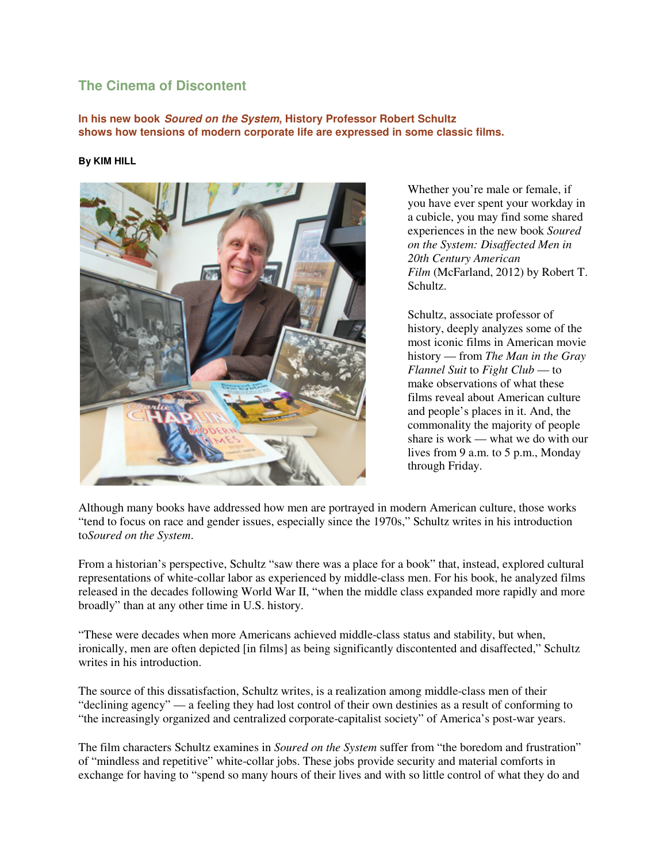## **The Cinema of Discontent**

**In his new book Soured on the System, History Professor Robert Schultz shows how tensions of modern corporate life are expressed in some classic films.** 

#### **By KIM HILL**



Whether you're male or female, if you have ever spent your workday in a cubicle, you may find some shared experiences in the new book *Soured on the System: Disaffected Men in 20th Century American Film* (McFarland, 2012) by Robert T. Schultz.

Schultz, associate professor of history, deeply analyzes some of the most iconic films in American movie history — from *The Man in the Gray Flannel Suit* to *Fight Club* — to make observations of what these films reveal about American culture and people's places in it. And, the commonality the majority of people share is work — what we do with our lives from 9 a.m. to 5 p.m., Monday through Friday.

Although many books have addressed how men are portrayed in modern American culture, those works "tend to focus on race and gender issues, especially since the 1970s," Schultz writes in his introduction to*Soured on the System*.

From a historian's perspective, Schultz "saw there was a place for a book" that, instead, explored cultural representations of white-collar labor as experienced by middle-class men. For his book, he analyzed films released in the decades following World War II, "when the middle class expanded more rapidly and more broadly" than at any other time in U.S. history.

"These were decades when more Americans achieved middle-class status and stability, but when, ironically, men are often depicted [in films] as being significantly discontented and disaffected," Schultz writes in his introduction

The source of this dissatisfaction, Schultz writes, is a realization among middle-class men of their "declining agency" — a feeling they had lost control of their own destinies as a result of conforming to "the increasingly organized and centralized corporate-capitalist society" of America's post-war years.

The film characters Schultz examines in *Soured on the System* suffer from "the boredom and frustration" of "mindless and repetitive" white-collar jobs. These jobs provide security and material comforts in exchange for having to "spend so many hours of their lives and with so little control of what they do and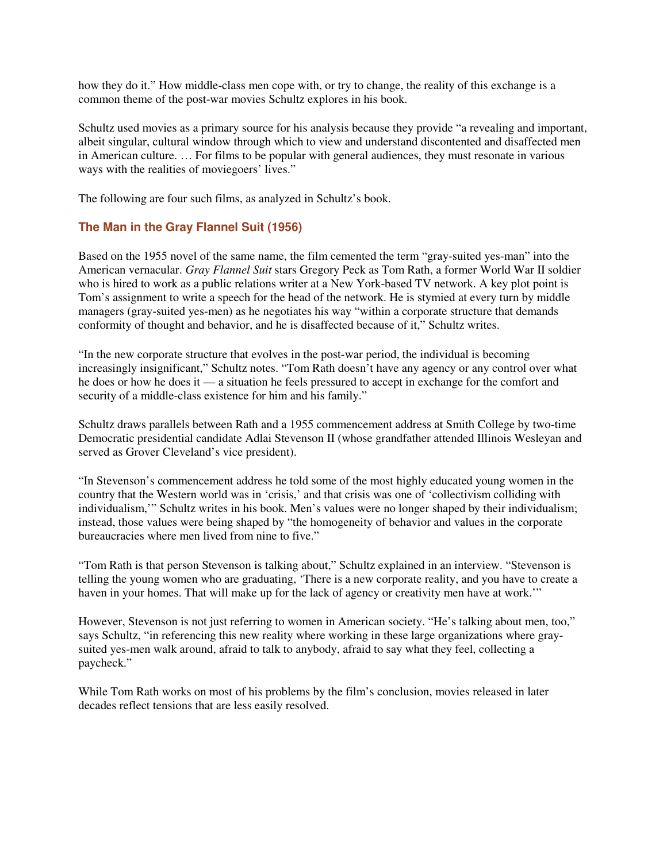how they do it." How middle-class men cope with, or try to change, the reality of this exchange is a common theme of the post-war movies Schultz explores in his book.

Schultz used movies as a primary source for his analysis because they provide "a revealing and important, albeit singular, cultural window through which to view and understand discontented and disaffected men in American culture. … For films to be popular with general audiences, they must resonate in various ways with the realities of moviegoers' lives."

The following are four such films, as analyzed in Schultz's book.

## **The Man in the Gray Flannel Suit (1956)**

Based on the 1955 novel of the same name, the film cemented the term "gray-suited yes-man" into the American vernacular. *Gray Flannel Suit* stars Gregory Peck as Tom Rath, a former World War II soldier who is hired to work as a public relations writer at a New York-based TV network. A key plot point is Tom's assignment to write a speech for the head of the network. He is stymied at every turn by middle managers (gray-suited yes-men) as he negotiates his way "within a corporate structure that demands conformity of thought and behavior, and he is disaffected because of it," Schultz writes.

"In the new corporate structure that evolves in the post-war period, the individual is becoming increasingly insignificant," Schultz notes. "Tom Rath doesn't have any agency or any control over what he does or how he does it — a situation he feels pressured to accept in exchange for the comfort and security of a middle-class existence for him and his family."

Schultz draws parallels between Rath and a 1955 commencement address at Smith College by two-time Democratic presidential candidate Adlai Stevenson II (whose grandfather attended Illinois Wesleyan and served as Grover Cleveland's vice president).

"In Stevenson's commencement address he told some of the most highly educated young women in the country that the Western world was in 'crisis,' and that crisis was one of 'collectivism colliding with individualism,'" Schultz writes in his book. Men's values were no longer shaped by their individualism; instead, those values were being shaped by "the homogeneity of behavior and values in the corporate bureaucracies where men lived from nine to five."

"Tom Rath is that person Stevenson is talking about," Schultz explained in an interview. "Stevenson is telling the young women who are graduating, 'There is a new corporate reality, and you have to create a haven in your homes. That will make up for the lack of agency or creativity men have at work.'"

However, Stevenson is not just referring to women in American society. "He's talking about men, too," says Schultz, "in referencing this new reality where working in these large organizations where graysuited yes-men walk around, afraid to talk to anybody, afraid to say what they feel, collecting a paycheck."

While Tom Rath works on most of his problems by the film's conclusion, movies released in later decades reflect tensions that are less easily resolved.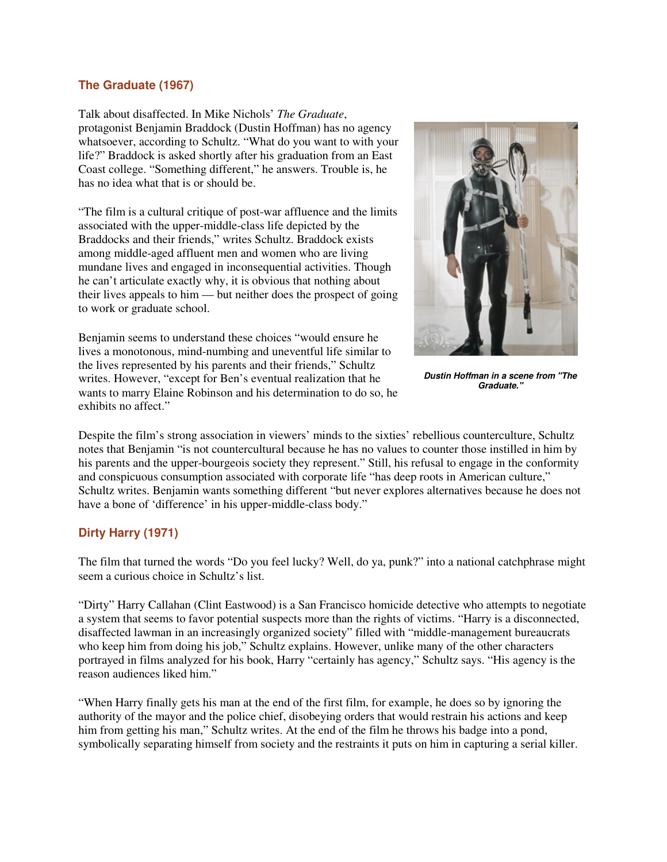### **The Graduate (1967)**

Talk about disaffected. In Mike Nichols' *The Graduate*, protagonist Benjamin Braddock (Dustin Hoffman) has no agency whatsoever, according to Schultz. "What do you want to with your life?" Braddock is asked shortly after his graduation from an East Coast college. "Something different," he answers. Trouble is, he has no idea what that is or should be.

"The film is a cultural critique of post-war affluence and the limits associated with the upper-middle-class life depicted by the Braddocks and their friends," writes Schultz. Braddock exists among middle-aged affluent men and women who are living mundane lives and engaged in inconsequential activities. Though he can't articulate exactly why, it is obvious that nothing about their lives appeals to him — but neither does the prospect of going to work or graduate school.

Benjamin seems to understand these choices "would ensure he lives a monotonous, mind-numbing and uneventful life similar to the lives represented by his parents and their friends," Schultz writes. However, "except for Ben's eventual realization that he wants to marry Elaine Robinson and his determination to do so, he exhibits no affect."



**Dustin Hoffman in a scene from "The Graduate."**

Despite the film's strong association in viewers' minds to the sixties' rebellious counterculture, Schultz notes that Benjamin "is not countercultural because he has no values to counter those instilled in him by his parents and the upper-bourgeois society they represent." Still, his refusal to engage in the conformity and conspicuous consumption associated with corporate life "has deep roots in American culture," Schultz writes. Benjamin wants something different "but never explores alternatives because he does not have a bone of 'difference' in his upper-middle-class body."

### **Dirty Harry (1971)**

The film that turned the words "Do you feel lucky? Well, do ya, punk?" into a national catchphrase might seem a curious choice in Schultz's list.

"Dirty" Harry Callahan (Clint Eastwood) is a San Francisco homicide detective who attempts to negotiate a system that seems to favor potential suspects more than the rights of victims. "Harry is a disconnected, disaffected lawman in an increasingly organized society" filled with "middle-management bureaucrats who keep him from doing his job," Schultz explains. However, unlike many of the other characters portrayed in films analyzed for his book, Harry "certainly has agency," Schultz says. "His agency is the reason audiences liked him."

"When Harry finally gets his man at the end of the first film, for example, he does so by ignoring the authority of the mayor and the police chief, disobeying orders that would restrain his actions and keep him from getting his man," Schultz writes. At the end of the film he throws his badge into a pond, symbolically separating himself from society and the restraints it puts on him in capturing a serial killer.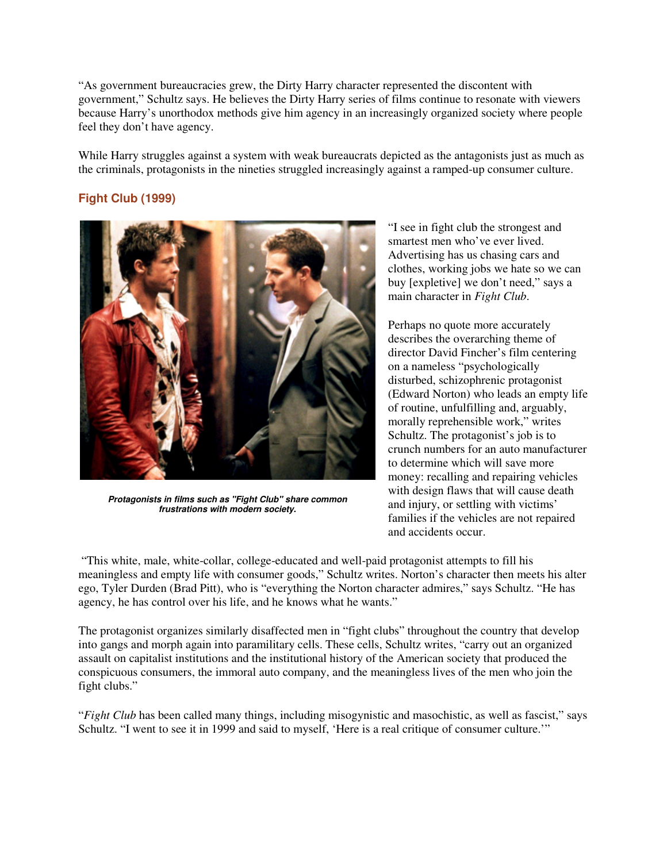"As government bureaucracies grew, the Dirty Harry character represented the discontent with government," Schultz says. He believes the Dirty Harry series of films continue to resonate with viewers because Harry's unorthodox methods give him agency in an increasingly organized society where people feel they don't have agency.

While Harry struggles against a system with weak bureaucrats depicted as the antagonists just as much as the criminals, protagonists in the nineties struggled increasingly against a ramped-up consumer culture.

## **Fight Club (1999)**



**Protagonists in films such as "Fight Club" share common frustrations with modern society.**

"I see in fight club the strongest and smartest men who've ever lived. Advertising has us chasing cars and clothes, working jobs we hate so we can buy [expletive] we don't need," says a main character in *Fight Club*.

Perhaps no quote more accurately describes the overarching theme of director David Fincher's film centering on a nameless "psychologically disturbed, schizophrenic protagonist (Edward Norton) who leads an empty life of routine, unfulfilling and, arguably, morally reprehensible work," writes Schultz. The protagonist's job is to crunch numbers for an auto manufacturer to determine which will save more money: recalling and repairing vehicles with design flaws that will cause death and injury, or settling with victims' families if the vehicles are not repaired and accidents occur.

 "This white, male, white-collar, college-educated and well-paid protagonist attempts to fill his meaningless and empty life with consumer goods," Schultz writes. Norton's character then meets his alter ego, Tyler Durden (Brad Pitt), who is "everything the Norton character admires," says Schultz. "He has agency, he has control over his life, and he knows what he wants."

The protagonist organizes similarly disaffected men in "fight clubs" throughout the country that develop into gangs and morph again into paramilitary cells. These cells, Schultz writes, "carry out an organized assault on capitalist institutions and the institutional history of the American society that produced the conspicuous consumers, the immoral auto company, and the meaningless lives of the men who join the fight clubs."

"*Fight Club* has been called many things, including misogynistic and masochistic, as well as fascist," says Schultz. "I went to see it in 1999 and said to myself, 'Here is a real critique of consumer culture.'"